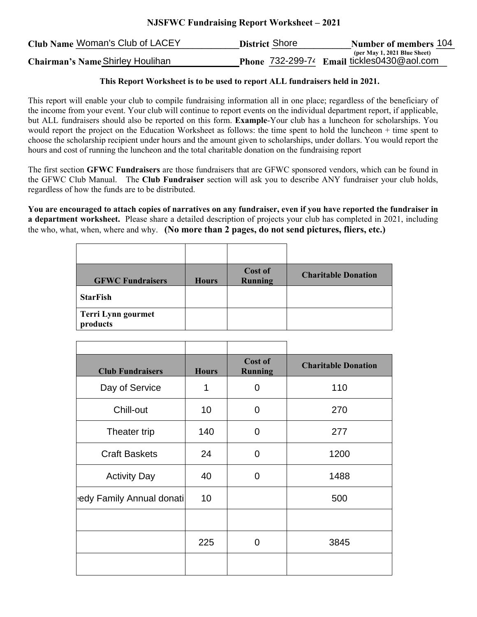## **NJSFWC Fundraising Report Worksheet – 2021**

| Club Name Woman's Club of LACEY  | <b>District Shore</b> | <b>Number of members 104</b>                    |
|----------------------------------|-----------------------|-------------------------------------------------|
|                                  |                       | (per May 1, 2021 Blue Sheet)                    |
| Chairman's Name Shirley Houlihan |                       | Phone $732-299-74$ Email tickles 0430 @ aol.com |

## **This Report Worksheet is to be used to report ALL fundraisers held in 2021.**

This report will enable your club to compile fundraising information all in one place; regardless of the beneficiary of the income from your event. Your club will continue to report events on the individual department report, if applicable, but ALL fundraisers should also be reported on this form. **Example**-Your club has a luncheon for scholarships. You would report the project on the Education Worksheet as follows: the time spent to hold the luncheon + time spent to choose the scholarship recipient under hours and the amount given to scholarships, under dollars. You would report the hours and cost of running the luncheon and the total charitable donation on the fundraising report

The first section **GFWC Fundraisers** are those fundraisers that are GFWC sponsored vendors, which can be found in the GFWC Club Manual. The **Club Fundraiser** section will ask you to describe ANY fundraiser your club holds, regardless of how the funds are to be distributed.

**You are encouraged to attach copies of narratives on any fundraiser, even if you have reported the fundraiser in a department worksheet.** Please share a detailed description of projects your club has completed in 2021, including the who, what, when, where and why. **(No more than 2 pages, do not send pictures, fliers, etc.)**

| <b>GFWC Fundraisers</b>        | <b>Hours</b> | Cost of<br>Running | <b>Charitable Donation</b> |
|--------------------------------|--------------|--------------------|----------------------------|
| <b>StarFish</b>                |              |                    |                            |
| Terri Lynn gourmet<br>products |              |                    |                            |

| <b>Club Fundraisers</b>  | <b>Hours</b> | Cost of<br><b>Running</b> | <b>Charitable Donation</b> |
|--------------------------|--------------|---------------------------|----------------------------|
| Day of Service           | 1            | $\Omega$                  | 110                        |
| Chill-out                | 10           | 0                         | 270                        |
| Theater trip             | 140          | $\Omega$                  | 277                        |
| <b>Craft Baskets</b>     | 24           | 0                         | 1200                       |
| <b>Activity Day</b>      | 40           | 0                         | 1488                       |
| edy Family Annual donati | 10           |                           | 500                        |
|                          |              |                           |                            |
|                          | 225          | 0                         | 3845                       |
|                          |              |                           |                            |